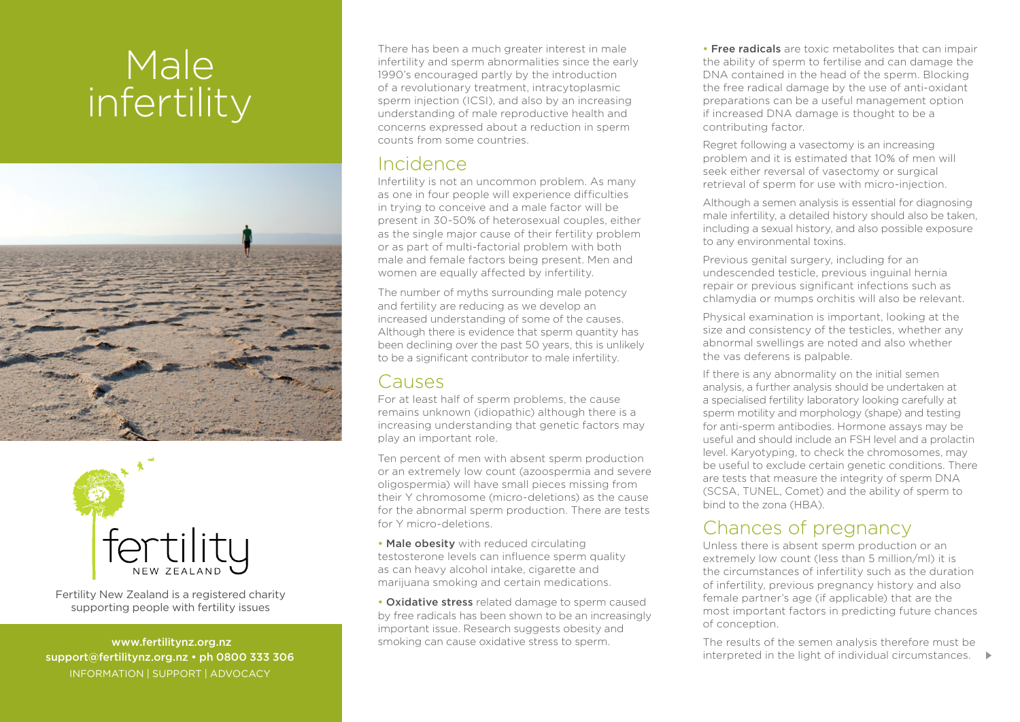# Male infertility





Fertility New Zealand is a registered charity supporting people with fertility issues

 www.fertilitynz.org.nz support@fertilitynz.org.nz • ph 0800 333 306 INFORMATION | SUPPORT | ADVOCACY

There has been a much greater interest in male infertility and sperm abnormalities since the early 1990's encouraged partly by the introduction of a revolutionary treatment, intracytoplasmic sperm injection (ICSI), and also by an increasing understanding of male reproductive health and concerns expressed about a reduction in sperm counts from some countries.

### Incidence

Infertility is not an uncommon problem. As many as one in four people will experience difficulties in trying to conceive and a male factor will be present in 30-50% of heterosexual couples, either as the single major cause of their fertility problem or as part of multi-factorial problem with both male and female factors being present. Men and women are equally affected by infertility.

The number of myths surrounding male potency and fertility are reducing as we develop an increased understanding of some of the causes. Although there is evidence that sperm quantity has been declining over the past 50 years, this is unlikely to be a significant contributor to male infertility.

### **Causes**

For at least half of sperm problems, the cause remains unknown (idiopathic) although there is a increasing understanding that genetic factors may play an important role.

Ten percent of men with absent sperm production or an extremely low count (azoospermia and severe oligospermia) will have small pieces missing from their Y chromosome (micro-deletions) as the cause for the abnormal sperm production. There are tests for Y micro-deletions.

• Male obesity with reduced circulating testosterone levels can influence sperm quality as can heavy alcohol intake, cigarette and marijuana smoking and certain medications.

• Oxidative stress related damage to sperm caused by free radicals has been shown to be an increasingly important issue. Research suggests obesity and smoking can cause oxidative stress to sperm.

• Free radicals are toxic metabolites that can impair the ability of sperm to fertilise and can damage the DNA contained in the head of the sperm. Blocking the free radical damage by the use of anti-oxidant preparations can be a useful management option if increased DNA damage is thought to be a contributing factor.

Regret following a vasectomy is an increasing problem and it is estimated that 10% of men will seek either reversal of vasectomy or surgical retrieval of sperm for use with micro-injection.

Although a semen analysis is essential for diagnosing male infertility, a detailed history should also be taken, including a sexual history, and also possible exposure to any environmental toxins.

Previous genital surgery, including for an undescended testicle, previous inguinal hernia repair or previous significant infections such as chlamydia or mumps orchitis will also be relevant.

Physical examination is important, looking at the size and consistency of the testicles, whether any abnormal swellings are noted and also whether the vas deferens is palpable.

If there is any abnormality on the initial semen analysis, a further analysis should be undertaken at a specialised fertility laboratory looking carefully at sperm motility and morphology (shape) and testing for anti-sperm antibodies. Hormone assays may be useful and should include an FSH level and a prolactin level. Karyotyping, to check the chromosomes, may be useful to exclude certain genetic conditions. There are tests that measure the integrity of sperm DNA (SCSA, TUNEL, Comet) and the ability of sperm to bind to the zona (HBA).

## Chances of pregnancy

Unless there is absent sperm production or an extremely low count (less than 5 million/ml) it is the circumstances of infertility such as the duration of infertility, previous pregnancy history and also female partner's age (if applicable) that are the most important factors in predicting future chances of conception.

interpreted in the light of individual circumstances. The results of the semen analysis therefore must be